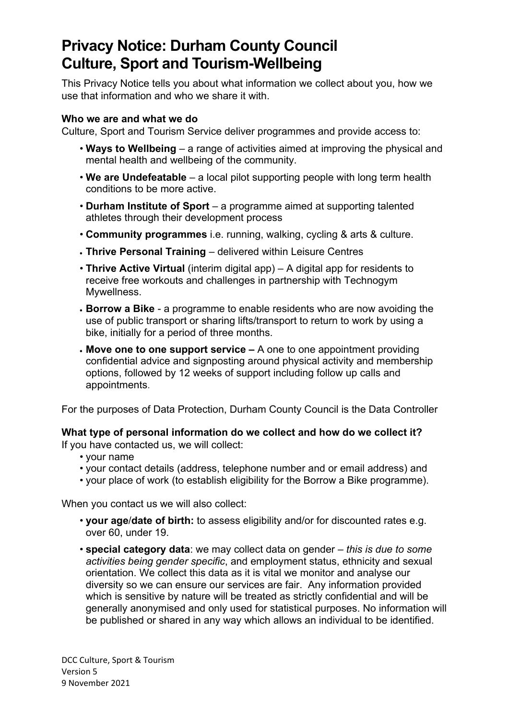# **Privacy Notice: Durham County Council Culture, Sport and Tourism-Wellbeing**

This Privacy Notice tells you about what information we collect about you, how we use that information and who we share it with.

# **Who we are and what we do**

Culture, Sport and Tourism Service deliver programmes and provide access to:

- **Ways to Wellbeing**  a range of activities aimed at improving the physical and mental health and wellbeing of the community.
- **We are Undefeatable**  a local pilot supporting people with long term health conditions to be more active.
- **Durham Institute of Sport**  a programme aimed at supporting talented athletes through their development process
- **Community programmes** i.e. running, walking, cycling & arts & culture.
- **Thrive Personal Training**  delivered within Leisure Centres
- **Thrive Active Virtual** (interim digital app) A digital app for residents to receive free workouts and challenges in partnership with Technogym Mywellness.
- **Borrow a Bike** a programme to enable residents who are now avoiding the use of public transport or sharing lifts/transport to return to work by using a bike, initially for a period of three months.
- **Move one to one support service** A one to one appointment providing confidential advice and signposting around physical activity and membership options, followed by 12 weeks of support including follow up calls and appointments.

For the purposes of Data Protection, Durham County Council is the Data Controller

# **What type of personal information do we collect and how do we collect it?**

If you have contacted us, we will collect:

- your name
- your contact details (address, telephone number and or email address) and
- your place of work (to establish eligibility for the Borrow a Bike programme).

When you contact us we will also collect:

- **your age**/**date of birth:** to assess eligibility and/or for discounted rates e.g. over 60, under 19.
- **special category data**: we may collect data on gender *this is due to some activities being gender specific*, and employment status, ethnicity and sexual orientation. We collect this data as it is vital we monitor and analyse our diversity so we can ensure our services are fair. Any information provided which is sensitive by nature will be treated as strictly confidential and will be generally anonymised and only used for statistical purposes. No information will be published or shared in any way which allows an individual to be identified.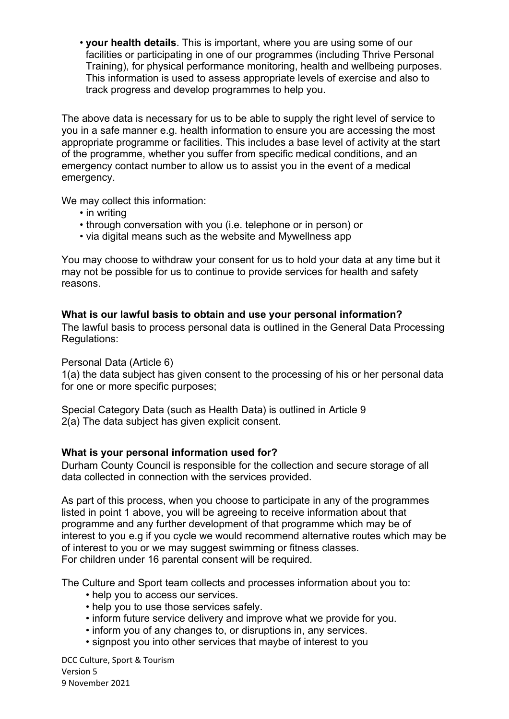• **your health details**. This is important, where you are using some of our facilities or participating in one of our programmes (including Thrive Personal Training), for physical performance monitoring, health and wellbeing purposes. This information is used to assess appropriate levels of exercise and also to track progress and develop programmes to help you.

The above data is necessary for us to be able to supply the right level of service to you in a safe manner e.g. health information to ensure you are accessing the most appropriate programme or facilities. This includes a base level of activity at the start of the programme, whether you suffer from specific medical conditions, and an emergency contact number to allow us to assist you in the event of a medical emergency.

We may collect this information:

- in writing
- through conversation with you (i.e. telephone or in person) or
- via digital means such as the website and Mywellness app

You may choose to withdraw your consent for us to hold your data at any time but it may not be possible for us to continue to provide services for health and safety reasons.

# **What is our lawful basis to obtain and use your personal information?**

The lawful basis to process personal data is outlined in the General Data Processing Regulations:

Personal Data (Article 6)

1(a) the data subject has given consent to the processing of his or her personal data for one or more specific purposes;

Special Category Data (such as Health Data) is outlined in Article 9 2(a) The data subject has given explicit consent.

# **What is your personal information used for?**

Durham County Council is responsible for the collection and secure storage of all data collected in connection with the services provided.

As part of this process, when you choose to participate in any of the programmes listed in point 1 above, you will be agreeing to receive information about that programme and any further development of that programme which may be of interest to you e.g if you cycle we would recommend alternative routes which may be of interest to you or we may suggest swimming or fitness classes. For children under 16 parental consent will be required.

The Culture and Sport team collects and processes information about you to:

- help you to access our services.
- help you to use those services safely.
- inform future service delivery and improve what we provide for you.
- inform you of any changes to, or disruptions in, any services.
- signpost you into other services that maybe of interest to you

DCC Culture, Sport & Tourism Version 5 9 November 2021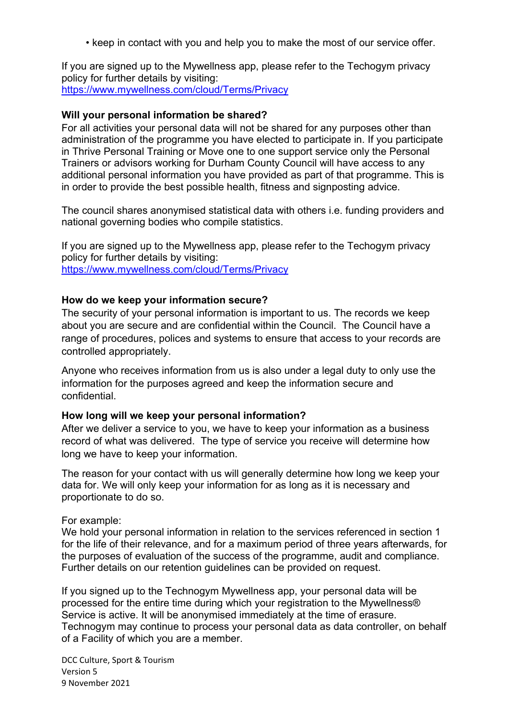• keep in contact with you and help you to make the most of our service offer.

If you are signed up to the Mywellness app, please refer to the Techogym privacy policy for further details by visiting: <https://www.mywellness.com/cloud/Terms/Privacy>

#### **Will your personal information be shared?**

For all activities your personal data will not be shared for any purposes other than administration of the programme you have elected to participate in. If you participate in Thrive Personal Training or Move one to one support service only the Personal Trainers or advisors working for Durham County Council will have access to any additional personal information you have provided as part of that programme. This is in order to provide the best possible health, fitness and signposting advice.

The council shares anonymised statistical data with others i.e. funding providers and national governing bodies who compile statistics.

If you are signed up to the Mywellness app, please refer to the Techogym privacy policy for further details by visiting: <https://www.mywellness.com/cloud/Terms/Privacy>

#### **How do we keep your information secure?**

The security of your personal information is important to us. The records we keep about you are secure and are confidential within the Council. The Council have a range of procedures, polices and systems to ensure that access to your records are controlled appropriately.

Anyone who receives information from us is also under a legal duty to only use the information for the purposes agreed and keep the information secure and confidential.

#### **How long will we keep your personal information?**

After we deliver a service to you, we have to keep your information as a business record of what was delivered. The type of service you receive will determine how long we have to keep your information.

The reason for your contact with us will generally determine how long we keep your data for. We will only keep your information for as long as it is necessary and proportionate to do so.

#### For example:

We hold your personal information in relation to the services referenced in section 1 for the life of their relevance, and for a maximum period of three years afterwards, for the purposes of evaluation of the success of the programme, audit and compliance. Further details on our retention guidelines can be provided on request.

If you signed up to the Technogym Mywellness app, your personal data will be processed for the entire time during which your registration to the Mywellness® Service is active. It will be anonymised immediately at the time of erasure. Technogym may continue to process your personal data as data controller, on behalf of a Facility of which you are a member.

DCC Culture, Sport & Tourism Version 5 9 November 2021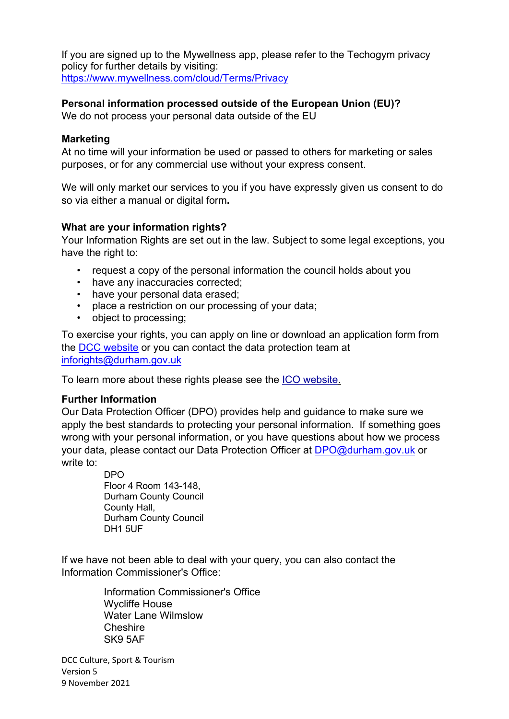If you are signed up to the Mywellness app, please refer to the Techogym privacy policy for further details by visiting: <https://www.mywellness.com/cloud/Terms/Privacy>

# **Personal information processed outside of the European Union (EU)?**

We do not process your personal data outside of the EU

#### **Marketing**

At no time will your information be used or passed to others for marketing or sales purposes, or for any commercial use without your express consent.

We will only market our services to you if you have expressly given us consent to do so via either a manual or digital form**.** 

## **What are your information rights?**

Your Information Rights are set out in the law. Subject to some legal exceptions, you have the right to:

- request a copy of the personal information the council holds about you
- have any inaccuracies corrected;
- have your personal data erased;
- place a restriction on our processing of your data;
- object to processing;

To exercise your rights, you can apply on line or download an application form from the [DCC website](http://www.durham.gov.uk/article/2213/Data-Protection-Freedom-of-Info) or you can contact the data protection team at [inforights@durham.gov.uk](mailto:inforights@durham.gov.uk)

To learn more about these rights please see the [ICO website.](https://ico.org.uk/for-organisations/guide-to-the-general-data-protection-regulation-gdpr/individual-rights/)

## **Further Information**

Our Data Protection Officer (DPO) provides help and guidance to make sure we apply the best standards to protecting your personal information. If something goes wrong with your personal information, or you have questions about how we process your data, please contact our Data Protection Officer at [DPO@durham.gov.uk](mailto:DPO@durham.gov.uk) or write to:

> DPO Floor 4 Room 143-148, Durham County Council County Hall, Durham County Council DH1 5UF

If we have not been able to deal with your query, you can also contact the Information Commissioner's Office:

> Information Commissioner's Office Wycliffe House Water Lane Wilmslow **Cheshire** SK9 5AF

DCC Culture, Sport & Tourism Version 5 9 November 2021